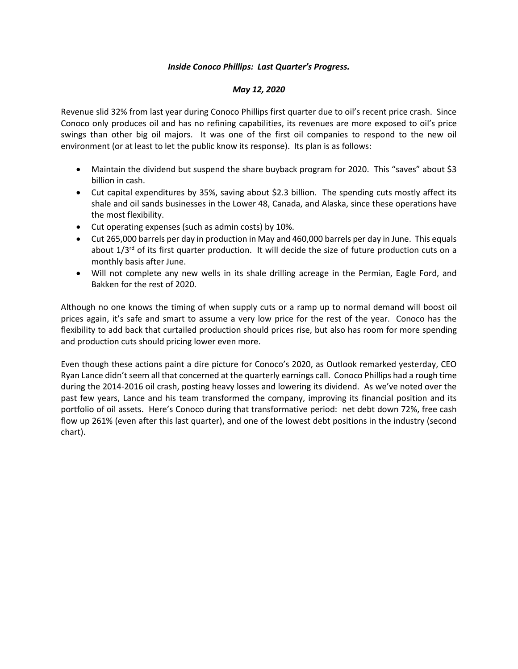## *Inside Conoco Phillips: Last Quarter's Progress.*

## *May 12, 2020*

Revenue slid 32% from last year during Conoco Phillips first quarter due to oil's recent price crash. Since Conoco only produces oil and has no refining capabilities, its revenues are more exposed to oil's price swings than other big oil majors. It was one of the first oil companies to respond to the new oil environment (or at least to let the public know its response). Its plan is as follows:

- Maintain the dividend but suspend the share buyback program for 2020. This "saves" about \$3 billion in cash.
- Cut capital expenditures by 35%, saving about \$2.3 billion. The spending cuts mostly affect its shale and oil sands businesses in the Lower 48, Canada, and Alaska, since these operations have the most flexibility.
- Cut operating expenses (such as admin costs) by 10%.
- Cut 265,000 barrels per day in production in May and 460,000 barrels per day in June. This equals about  $1/3^{rd}$  of its first quarter production. It will decide the size of future production cuts on a monthly basis after June.
- Will not complete any new wells in its shale drilling acreage in the Permian, Eagle Ford, and Bakken for the rest of 2020.

Although no one knows the timing of when supply cuts or a ramp up to normal demand will boost oil prices again, it's safe and smart to assume a very low price for the rest of the year. Conoco has the flexibility to add back that curtailed production should prices rise, but also has room for more spending and production cuts should pricing lower even more.

Even though these actions paint a dire picture for Conoco's 2020, as Outlook remarked yesterday, CEO Ryan Lance didn't seem all that concerned at the quarterly earnings call. Conoco Phillips had a rough time during the 2014-2016 oil crash, posting heavy losses and lowering its dividend. As we've noted over the past few years, Lance and his team transformed the company, improving its financial position and its portfolio of oil assets. Here's Conoco during that transformative period: net debt down 72%, free cash flow up 261% (even after this last quarter), and one of the lowest debt positions in the industry (second chart).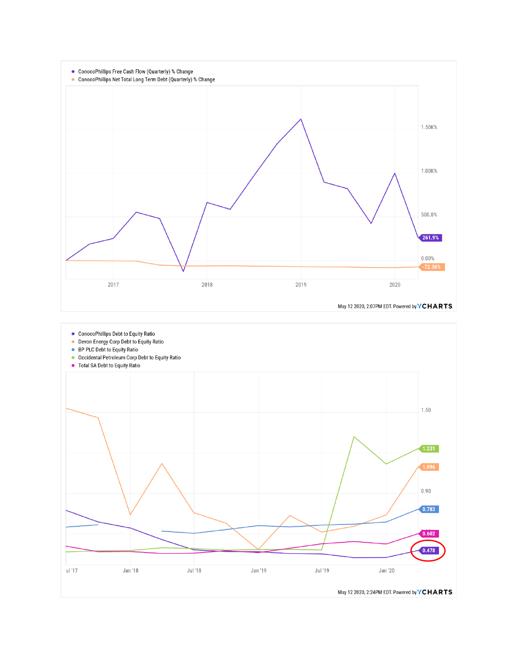